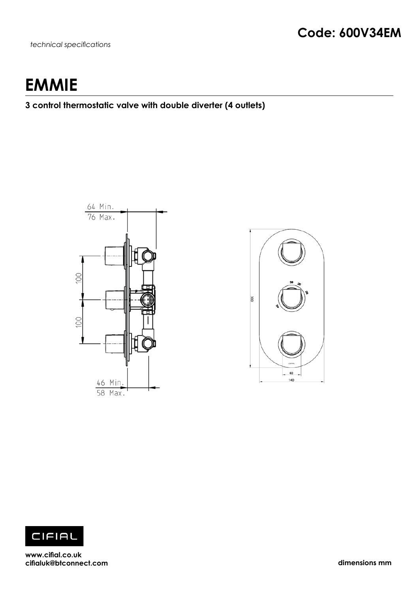*technical specifications*

# **EMMIE**

## **3 control thermostatic valve with double diverter (4 outlets)**







**www.cifial.co.uk cifialuk@btconnect.com dimensions mm**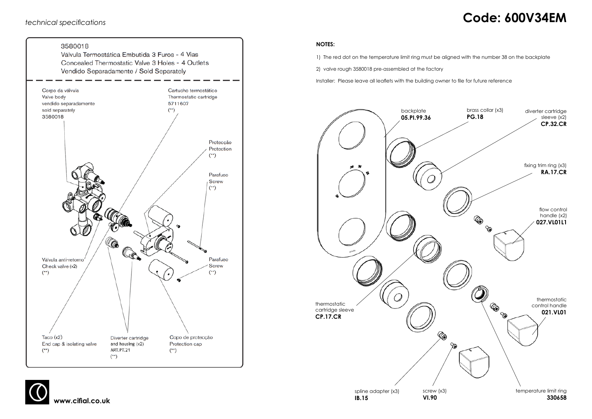# *technical specifications* **Code: 600V34EM**





#### **NOTES:**

1) The red dot on the temperature limit ring must be aligned with the number 38 on the backplate

2) valve rough 3580018 pre-assembled at the factory

Installer: Please leave all leaflets with the building owner to file for future reference